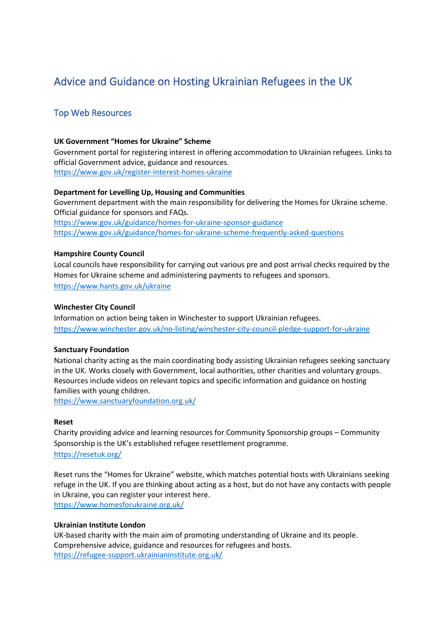# Advice and Guidance on Hosting Ukrainian Refugees in the UK

## Top Web Resources

#### **UK Government "Homes for Ukraine" Scheme**

Government portal for registering interest in offering accommodation to Ukrainian refugees. Links to official Government advice, guidance and resources. <https://www.gov.uk/register-interest-homes-ukraine>

#### **Department for Levelling Up, Housing and Communities**

Government department with the main responsibility for delivering the Homes for Ukraine scheme. Official guidance for sponsors and FAQs.

<https://www.gov.uk/guidance/homes-for-ukraine-sponsor-guidance> <https://www.gov.uk/guidance/homes-for-ukraine-scheme-frequently-asked-questions>

#### **Hampshire County Council**

Local councils have responsibility for carrying out various pre and post arrival checks required by the Homes for Ukraine scheme and administering payments to refugees and sponsors. <https://www.hants.gov.uk/ukraine>

#### **Winchester City Council**

Information on action being taken in Winchester to support Ukrainian refugees. <https://www.winchester.gov.uk/no-listing/winchester-city-council-pledge-support-for-ukraine>

#### **Sanctuary Foundation**

National charity acting as the main coordinating body assisting Ukrainian refugees seeking sanctuary in the UK. Works closely with Government, local authorities, other charities and voluntary groups. Resources include videos on relevant topics and specific information and guidance on hosting families with young children.

<https://www.sanctuaryfoundation.org.uk/>

#### **Reset**

Charity providing advice and learning resources for Community Sponsorship groups – Community Sponsorship is the UK's established refugee resettlement programme. <https://resetuk.org/>

Reset runs the "Homes for Ukraine" website, which matches potential hosts with Ukrainians seeking refuge in the UK. If you are thinking about acting as a host, but do not have any contacts with people in Ukraine, you can register your interest here. <https://www.homesforukraine.org.uk/>

#### **Ukrainian Institute London**

UK-based charity with the main aim of promoting understanding of Ukraine and its people. Comprehensive advice, guidance and resources for refugees and hosts. <https://refugee-support.ukrainianinstitute.org.uk/>